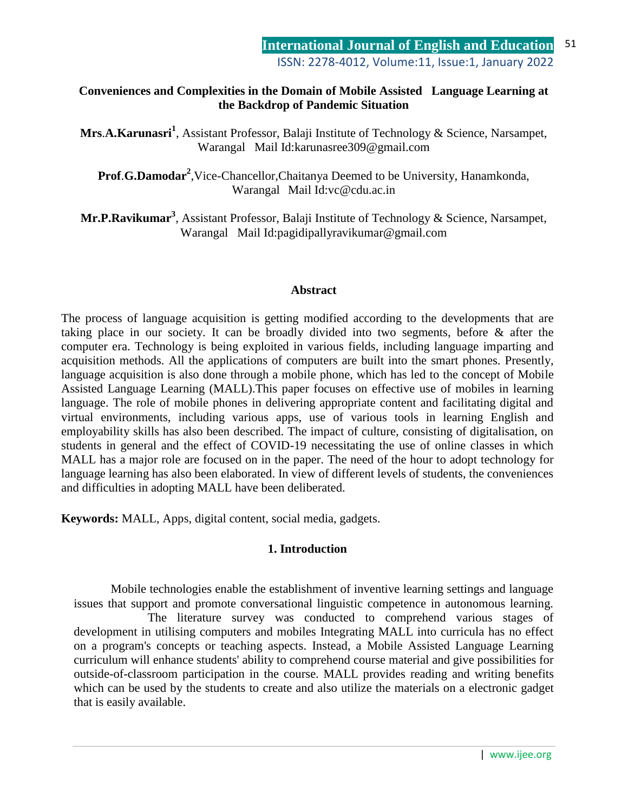### **Conveniences and Complexities in the Domain of Mobile Assisted Language Learning at the Backdrop of Pandemic Situation**

**Mrs**.**A.Karunasri<sup>1</sup>** , Assistant Professor, Balaji Institute of Technology & Science, Narsampet, Warangal Mail Id:karunasree309@gmail.com

Prof.G.Damodar<sup>2</sup>, Vice-Chancellor, Chaitanya Deemed to be University, Hanamkonda, Warangal Mail Id:vc@cdu.ac.in

**Mr.P.Ravikumar<sup>3</sup>** , Assistant Professor, Balaji Institute of Technology & Science, Narsampet, Warangal Mail Id:pagidipallyravikumar@gmail.com

#### **Abstract**

The process of language acquisition is getting modified according to the developments that are taking place in our society. It can be broadly divided into two segments, before & after the computer era. Technology is being exploited in various fields, including language imparting and acquisition methods. All the applications of computers are built into the smart phones. Presently, language acquisition is also done through a mobile phone, which has led to the concept of Mobile Assisted Language Learning (MALL).This paper focuses on effective use of mobiles in learning language. The role of mobile phones in delivering appropriate content and facilitating digital and virtual environments, including various apps, use of various tools in learning English and employability skills has also been described. The impact of culture, consisting of digitalisation, on students in general and the effect of COVID-19 necessitating the use of online classes in which MALL has a major role are focused on in the paper. The need of the hour to adopt technology for language learning has also been elaborated. In view of different levels of students, the conveniences and difficulties in adopting MALL have been deliberated.

**Keywords:** MALL, Apps, digital content, social media, gadgets.

#### **1. Introduction**

Mobile technologies enable the establishment of inventive learning settings and language issues that support and promote conversational linguistic competence in autonomous learning. The literature survey was conducted to comprehend various stages of development in utilising computers and mobiles Integrating MALL into curricula has no effect on a program's concepts or teaching aspects. Instead, a Mobile Assisted Language Learning curriculum will enhance students' ability to comprehend course material and give possibilities for outside-of-classroom participation in the course. MALL provides reading and writing benefits which can be used by the students to create and also utilize the materials on a electronic gadget that is easily available.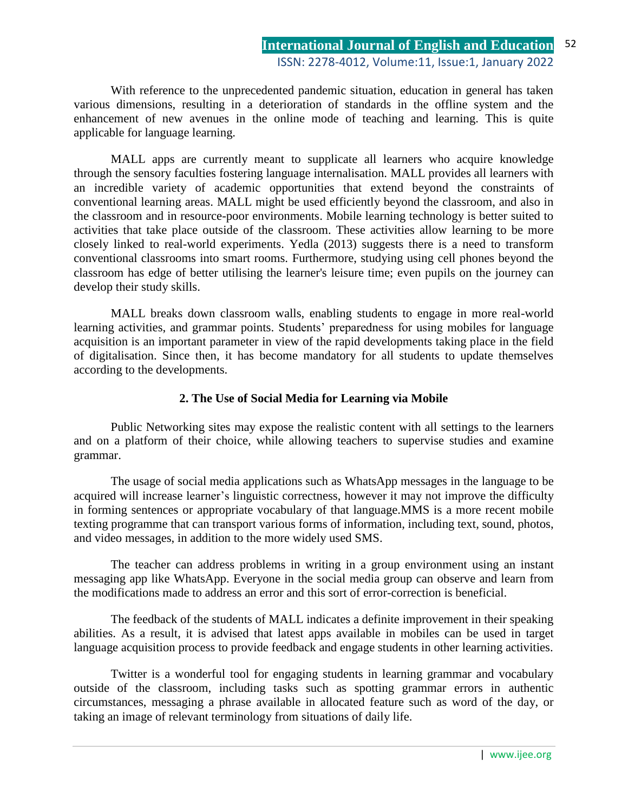With reference to the unprecedented pandemic situation, education in general has taken various dimensions, resulting in a deterioration of standards in the offline system and the enhancement of new avenues in the online mode of teaching and learning. This is quite applicable for language learning.

MALL apps are currently meant to supplicate all learners who acquire knowledge through the sensory faculties fostering language internalisation. MALL provides all learners with an incredible variety of academic opportunities that extend beyond the constraints of conventional learning areas. MALL might be used efficiently beyond the classroom, and also in the classroom and in resource-poor environments. Mobile learning technology is better suited to activities that take place outside of the classroom. These activities allow learning to be more closely linked to real-world experiments. Yedla (2013) suggests there is a need to transform conventional classrooms into smart rooms. Furthermore, studying using cell phones beyond the classroom has edge of better utilising the learner's leisure time; even pupils on the journey can develop their study skills.

MALL breaks down classroom walls, enabling students to engage in more real-world learning activities, and grammar points. Students' preparedness for using mobiles for language acquisition is an important parameter in view of the rapid developments taking place in the field of digitalisation. Since then, it has become mandatory for all students to update themselves according to the developments.

#### **2. The Use of Social Media for Learning via Mobile**

Public Networking sites may expose the realistic content with all settings to the learners and on a platform of their choice, while allowing teachers to supervise studies and examine grammar.

The usage of social media applications such as WhatsApp messages in the language to be acquired will increase learner's linguistic correctness, however it may not improve the difficulty in forming sentences or appropriate vocabulary of that language.MMS is a more recent mobile texting programme that can transport various forms of information, including text, sound, photos, and video messages, in addition to the more widely used SMS.

The teacher can address problems in writing in a group environment using an instant messaging app like WhatsApp. Everyone in the social media group can observe and learn from the modifications made to address an error and this sort of error-correction is beneficial.

 The feedback of the students of MALL indicates a definite improvement in their speaking abilities. As a result, it is advised that latest apps available in mobiles can be used in target language acquisition process to provide feedback and engage students in other learning activities.

Twitter is a wonderful tool for engaging students in learning grammar and vocabulary outside of the classroom, including tasks such as spotting grammar errors in authentic circumstances, messaging a phrase available in allocated feature such as word of the day, or taking an image of relevant terminology from situations of daily life.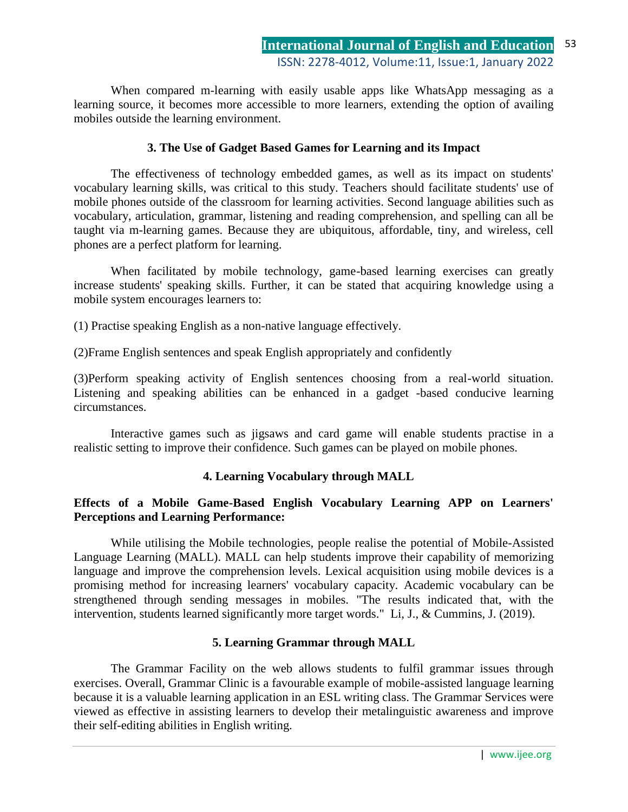When compared m-learning with easily usable apps like WhatsApp messaging as a learning source, it becomes more accessible to more learners, extending the option of availing mobiles outside the learning environment.

## **3. The Use of Gadget Based Games for Learning and its Impact**

The effectiveness of technology embedded games, as well as its impact on students' vocabulary learning skills, was critical to this study. Teachers should facilitate students' use of mobile phones outside of the classroom for learning activities. Second language abilities such as vocabulary, articulation, grammar, listening and reading comprehension, and spelling can all be taught via m-learning games. Because they are ubiquitous, affordable, tiny, and wireless, cell phones are a perfect platform for learning.

When facilitated by mobile technology, game-based learning exercises can greatly increase students' speaking skills. Further, it can be stated that acquiring knowledge using a mobile system encourages learners to:

(1) Practise speaking English as a non-native language effectively.

(2)Frame English sentences and speak English appropriately and confidently

(3)Perform speaking activity of English sentences choosing from a real-world situation. Listening and speaking abilities can be enhanced in a gadget -based conducive learning circumstances.

Interactive games such as jigsaws and card game will enable students practise in a realistic setting to improve their confidence. Such games can be played on mobile phones.

# **4. Learning Vocabulary through MALL**

### **Effects of a Mobile Game-Based English Vocabulary Learning APP on Learners' Perceptions and Learning Performance:**

While utilising the Mobile technologies, people realise the potential of Mobile-Assisted Language Learning (MALL). MALL can help students improve their capability of memorizing language and improve the comprehension levels. Lexical acquisition using mobile devices is a promising method for increasing learners' vocabulary capacity. Academic vocabulary can be strengthened through sending messages in mobiles. "The results indicated that, with the intervention, students learned significantly more target words." Li, J., & Cummins, J. (2019).

# **5. Learning Grammar through MALL**

The Grammar Facility on the web allows students to fulfil grammar issues through exercises. Overall, Grammar Clinic is a favourable example of mobile-assisted language learning because it is a valuable learning application in an ESL writing class. The Grammar Services were viewed as effective in assisting learners to develop their metalinguistic awareness and improve their self-editing abilities in English writing.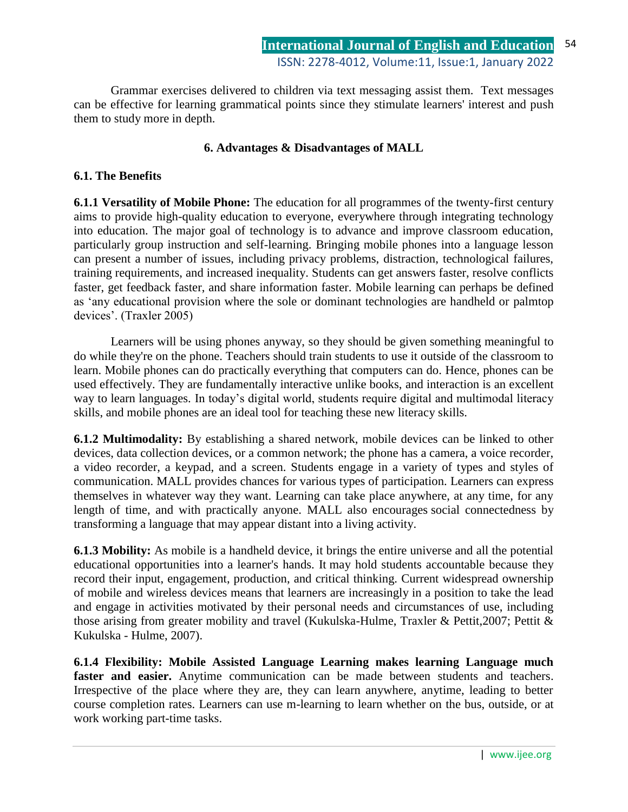Grammar exercises delivered to children via text messaging assist them. Text messages can be effective for learning grammatical points since they stimulate learners' interest and push them to study more in depth.

### **6. Advantages & Disadvantages of MALL**

#### **6.1. The Benefits**

**6.1.1 Versatility of Mobile Phone:** The education for all programmes of the twenty-first century aims to provide high-quality education to everyone, everywhere through integrating technology into education. The major goal of technology is to advance and improve classroom education, particularly group instruction and self-learning. Bringing mobile phones into a language lesson can present a number of issues, including privacy problems, distraction, technological failures, training requirements, and increased inequality. Students can get answers faster, resolve conflicts faster, get feedback faster, and share information faster. Mobile learning can perhaps be defined as "any educational provision where the sole or dominant technologies are handheld or palmtop devices". (Traxler 2005)

Learners will be using phones anyway, so they should be given something meaningful to do while they're on the phone. Teachers should train students to use it outside of the classroom to learn. Mobile phones can do practically everything that computers can do. Hence, phones can be used effectively. They are fundamentally interactive unlike books, and interaction is an excellent way to learn languages. In today"s digital world, students require digital and multimodal literacy skills, and mobile phones are an ideal tool for teaching these new literacy skills.

**6.1.2 Multimodality:** By establishing a shared network, mobile devices can be linked to other devices, data collection devices, or a common network; the phone has a camera, a voice recorder, a video recorder, a keypad, and a screen. Students engage in a variety of types and styles of communication. MALL provides chances for various types of participation. Learners can express themselves in whatever way they want. Learning can take place anywhere, at any time, for any length of time, and with practically anyone. MALL also encourages social connectedness by transforming a language that may appear distant into a living activity.

**6.1.3 Mobility:** As mobile is a handheld device, it brings the entire universe and all the potential educational opportunities into a learner's hands. It may hold students accountable because they record their input, engagement, production, and critical thinking. Current widespread ownership of mobile and wireless devices means that learners are increasingly in a position to take the lead and engage in activities motivated by their personal needs and circumstances of use, including those arising from greater mobility and travel (Kukulska-Hulme, Traxler & Pettit,2007; Pettit & Kukulska - Hulme, 2007).

**6.1.4 Flexibility: Mobile Assisted Language Learning makes learning Language much faster and easier.** Anytime communication can be made between students and teachers. Irrespective of the place where they are, they can learn anywhere, anytime, leading to better course completion rates. Learners can use m-learning to learn whether on the bus, outside, or at work working part-time tasks.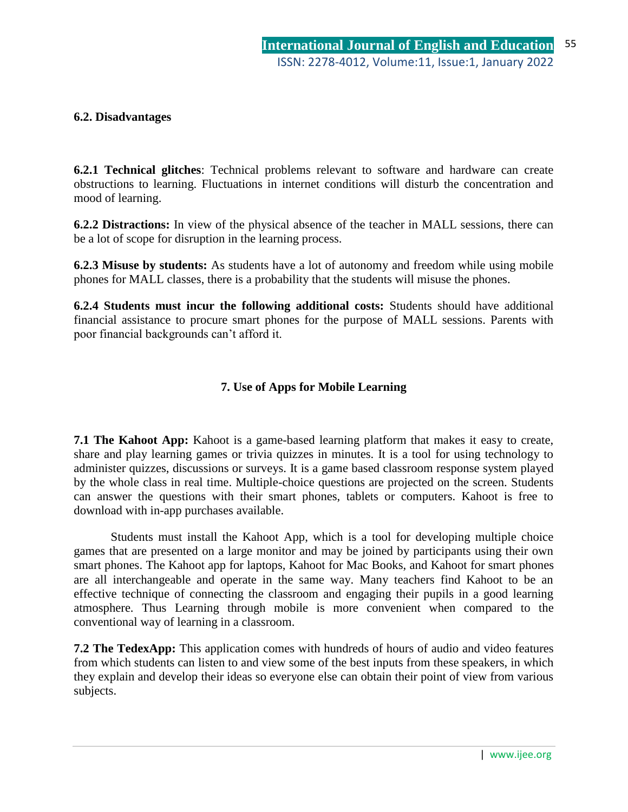### **6.2. Disadvantages**

**6.2.1 Technical glitches**: Technical problems relevant to software and hardware can create obstructions to learning. Fluctuations in internet conditions will disturb the concentration and mood of learning.

**6.2.2 Distractions:** In view of the physical absence of the teacher in MALL sessions, there can be a lot of scope for disruption in the learning process.

**6.2.3 Misuse by students:** As students have a lot of autonomy and freedom while using mobile phones for MALL classes, there is a probability that the students will misuse the phones.

**6.2.4 Students must incur the following additional costs:** Students should have additional financial assistance to procure smart phones for the purpose of MALL sessions. Parents with poor financial backgrounds can"t afford it.

### **7. Use of Apps for Mobile Learning**

**7.1 The Kahoot App:** Kahoot is a game-based learning platform that makes it easy to create, share and play learning games or trivia quizzes in minutes. It is a tool for using technology to administer quizzes, discussions or surveys. It is a game based classroom response system played by the whole class in real time. Multiple-choice questions are projected on the screen. Students can answer the questions with their smart phones, tablets or computers. Kahoot is free to download with in-app purchases available.

Students must install the Kahoot App, which is a tool for developing multiple choice games that are presented on a large monitor and may be joined by participants using their own smart phones. The Kahoot app for laptops, Kahoot for Mac Books, and Kahoot for smart phones are all interchangeable and operate in the same way. Many teachers find Kahoot to be an effective technique of connecting the classroom and engaging their pupils in a good learning atmosphere. Thus Learning through mobile is more convenient when compared to the conventional way of learning in a classroom.

**7.2 The TedexApp:** This application comes with hundreds of hours of audio and video features from which students can listen to and view some of the best inputs from these speakers, in which they explain and develop their ideas so everyone else can obtain their point of view from various subjects.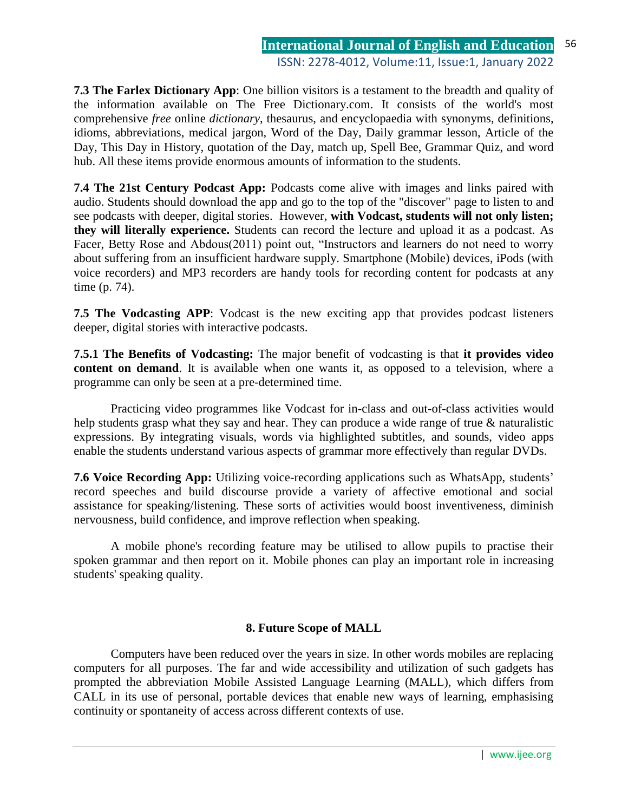**7.3 The Farlex Dictionary App**: One billion visitors is a testament to the breadth and quality of the information available on The Free Dictionary.com. It consists of the world's most comprehensive *free* online *dictionary*, thesaurus, and encyclopaedia with synonyms, definitions, idioms, abbreviations, medical jargon, Word of the Day, Daily grammar lesson, Article of the Day, This Day in History, quotation of the Day, match up, Spell Bee, Grammar Quiz, and word hub. All these items provide enormous amounts of information to the students.

**7.4 The 21st Century Podcast App:** Podcasts come alive with images and links paired with audio. Students should download the app and go to the top of the "discover" page to listen to and see podcasts with deeper, digital stories. However, **with Vodcast, students will not only listen; they will literally experience.** Students can record the lecture and upload it as a podcast. As Facer, Betty Rose and Abdous(2011) point out, "Instructors and learners do not need to worry about suffering from an insufficient hardware supply. Smartphone (Mobile) devices, iPods (with voice recorders) and MP3 recorders are handy tools for recording content for podcasts at any time (p. 74).

**7.5 The Vodcasting APP**: Vodcast is the new exciting app that provides podcast listeners deeper, digital stories with interactive podcasts.

**7.5.1 The Benefits of Vodcasting:** The major benefit of vodcasting is that **it provides video content on demand**. It is available when one wants it, as opposed to a television, where a programme can only be seen at a pre-determined time.

Practicing video programmes like Vodcast for in-class and out-of-class activities would help students grasp what they say and hear. They can produce a wide range of true & naturalistic expressions. By integrating visuals, words via highlighted subtitles, and sounds, video apps enable the students understand various aspects of grammar more effectively than regular DVDs.

**7.6 Voice Recording App:** Utilizing voice-recording applications such as WhatsApp, students' record speeches and build discourse provide a variety of affective emotional and social assistance for speaking/listening. These sorts of activities would boost inventiveness, diminish nervousness, build confidence, and improve reflection when speaking.

A mobile phone's recording feature may be utilised to allow pupils to practise their spoken grammar and then report on it. Mobile phones can play an important role in increasing students' speaking quality.

#### **8. Future Scope of MALL**

Computers have been reduced over the years in size. In other words mobiles are replacing computers for all purposes. The far and wide accessibility and utilization of such gadgets has prompted the abbreviation Mobile Assisted Language Learning (MALL), which differs from CALL in its use of personal, portable devices that enable new ways of learning, emphasising continuity or spontaneity of access across different contexts of use.